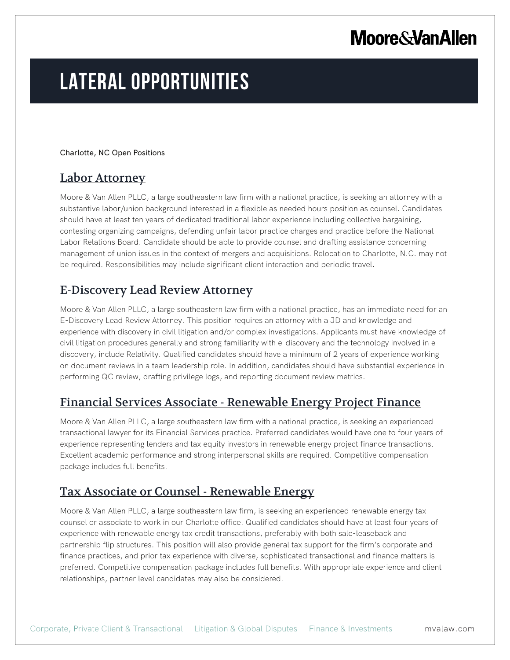# **Moore & Van Allen**

# **LATERAL OPPORTUNITIES**

Charlotte, NC Open Positions

## Labor Attorney

Moore & Van Allen PLLC, a large southeastern law firm with a national practice, is seeking an attorney with a substantive labor/union background interested in a flexible as needed hours position as counsel. Candidates should have at least ten years of dedicated traditional labor experience including collective bargaining, contesting organizing campaigns, defending unfair labor practice charges and practice before the National Labor Relations Board. Candidate should be able to provide counsel and drafting assistance concerning management of union issues in the context of mergers and acquisitions. Relocation to Charlotte, N.C. may not be required. Responsibilities may include significant client interaction and periodic travel.

## E-Discovery Lead Review Attorney

Moore & Van Allen PLLC, a large southeastern law firm with a national practice, has an immediate need for an E-Discovery Lead Review Attorney. This position requires an attorney with a JD and knowledge and experience with discovery in civil litigation and/or complex investigations. Applicants must have knowledge of civil litigation procedures generally and strong familiarity with e-discovery and the technology involved in ediscovery, include Relativity. Qualified candidates should have a minimum of 2 years of experience working on document reviews in a team leadership role. In addition, candidates should have substantial experience in performing QC review, drafting privilege logs, and reporting document review metrics.

### Financial Services Associate - Renewable Energy Project Finance

Moore & Van Allen PLLC, a large southeastern law firm with a national practice, is seeking an experienced transactional lawyer for its Financial Services practice. Preferred candidates would have one to four years of experience representing lenders and tax equity investors in renewable energy project finance transactions. Excellent academic performance and strong interpersonal skills are required. Competitive compensation package includes full benefits.

## Tax Associate or Counsel - Renewable Energy

Moore & Van Allen PLLC, a large southeastern law firm, is seeking an experienced renewable energy tax counsel or associate to work in our Charlotte office. Qualified candidates should have at least four years of experience with renewable energy tax credit transactions, preferably with both sale-leaseback and partnership flip structures. This position will also provide general tax support for the firm's corporate and finance practices, and prior tax experience with diverse, sophisticated transactional and finance matters is preferred. Competitive compensation package includes full benefits. With appropriate experience and client relationships, partner level candidates may also be considered.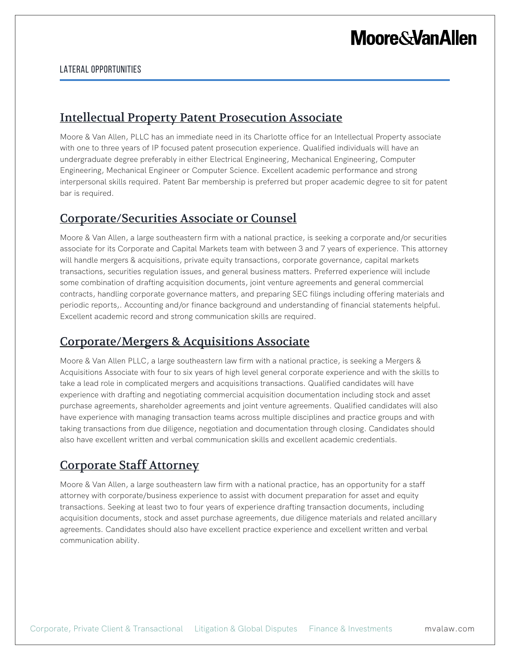#### LATERAL OPPORTUNITIES

### Intellectual Property Patent Prosecution Associate

Moore & Van Allen, PLLC has an immediate need in its Charlotte office for an Intellectual Property associate with one to three years of IP focused patent prosecution experience. Qualified individuals will have an undergraduate degree preferably in either Electrical Engineering, Mechanical Engineering, Computer Engineering, Mechanical Engineer or Computer Science. Excellent academic performance and strong interpersonal skills required. Patent Bar membership is preferred but proper academic degree to sit for patent bar is required.

#### Corporate/Securities Associate or Counsel

Moore & Van Allen, a large southeastern firm with a national practice, is seeking a corporate and/or securities associate for its Corporate and Capital Markets team with between 3 and 7 years of experience. This attorney will handle mergers & acquisitions, private equity transactions, corporate governance, capital markets transactions, securities regulation issues, and general business matters. Preferred experience will include some combination of drafting acquisition documents, joint venture agreements and general commercial contracts, handling corporate governance matters, and preparing SEC filings including offering materials and periodic reports,. Accounting and/or finance background and understanding of financial statements helpful. Excellent academic record and strong communication skills are required.

### Corporate/Mergers & Acquisitions Associate

Moore & Van Allen PLLC, a large southeastern law firm with a national practice, is seeking a Mergers & Acquisitions Associate with four to six years of high level general corporate experience and with the skills to take a lead role in complicated mergers and acquisitions transactions. Qualified candidates will have experience with drafting and negotiating commercial acquisition documentation including stock and asset purchase agreements, shareholder agreements and joint venture agreements. Qualified candidates will also have experience with managing transaction teams across multiple disciplines and practice groups and with taking transactions from due diligence, negotiation and documentation through closing. Candidates should also have excellent written and verbal communication skills and excellent academic credentials.

# Corporate Staff Attorney

Moore & Van Allen, a large southeastern law firm with a national practice, has an opportunity for a staff attorney with corporate/business experience to assist with document preparation for asset and equity transactions. Seeking at least two to four years of experience drafting transaction documents, including acquisition documents, stock and asset purchase agreements, due diligence materials and related ancillary agreements. Candidates should also have excellent practice experience and excellent written and verbal communication ability.